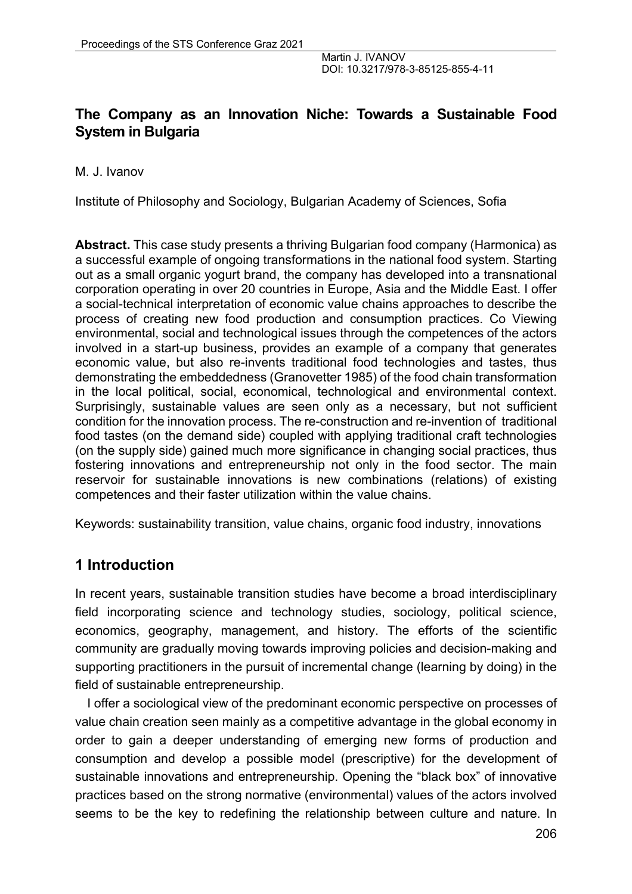# **The Company as an Innovation Niche: Towards a Sustainable Food System in Bulgaria**

M. J. Ivanov

Institute of Philosophy and Sociology, Bulgarian Academy of Sciences, Sofia

**Abstract.** This case study presents a thriving Bulgarian food company (Harmonica) as a successful example of ongoing transformations in the national food system. Starting out as a small organic yogurt brand, the company has developed into a transnational corporation operating in over 20 countries in Europe, Asia and the Middle East. I offer a social-technical interpretation of economic value chains approaches to describe the process of creating new food production and consumption practices. Co Viewing environmental, social and technological issues through the competences of the actors involved in a start-up business, provides an example of a company that generates economic value, but also re-invents traditional food technologies and tastes, thus demonstrating the embeddedness (Granovetter 1985) of the food chain transformation in the local political, social, economical, technological and environmental context. Surprisingly, sustainable values are seen only as a necessary, but not sufficient condition for the innovation process. The re-construction and re-invention of traditional food tastes (on the demand side) coupled with applying traditional craft technologies (on the supply side) gained much more significance in changing social practices, thus fostering innovations and entrepreneurship not only in the food sector. The main reservoir for sustainable innovations is new combinations (relations) of existing competences and their faster utilization within the value chains.

Keywords: sustainability transition, value chains, organic food industry, innovations

# **1 Introduction**

In recent years, sustainable transition studies have become a broad interdisciplinary field incorporating science and technology studies, sociology, political science, economics, geography, management, and history. The efforts of the scientific community are gradually moving towards improving policies and decision-making and supporting practitioners in the pursuit of incremental change (learning by doing) in the field of sustainable entrepreneurship.

I offer a sociological view of the predominant economic perspective on processes of value chain creation seen mainly as a competitive advantage in the global economy in order to gain a deeper understanding of emerging new forms of production and consumption and develop a possible model (prescriptive) for the development of sustainable innovations and entrepreneurship. Opening the "black box" of innovative practices based on the strong normative (environmental) values of the actors involved seems to be the key to redefining the relationship between culture and nature. In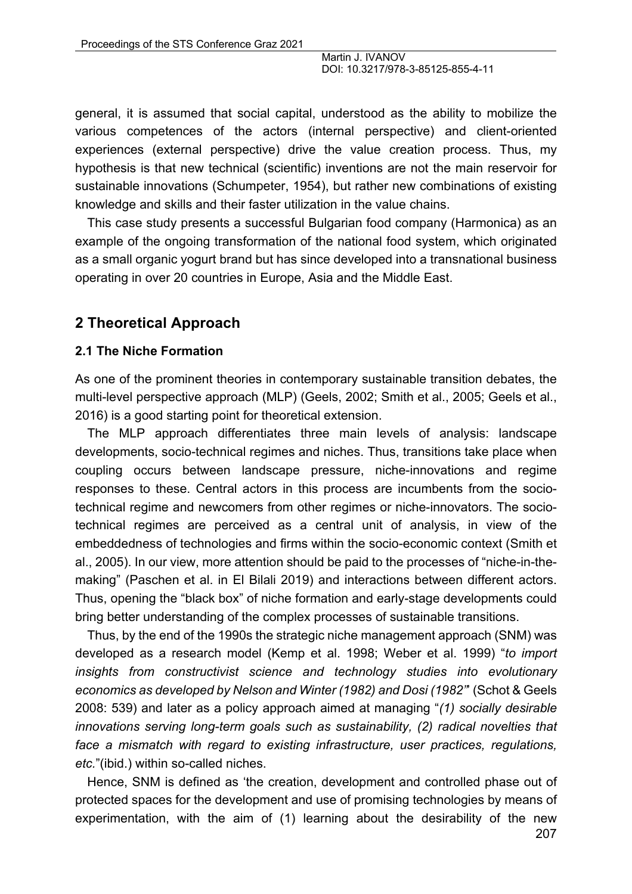general, it is assumed that social capital, understood as the ability to mobilize the various competences of the actors (internal perspective) and client-oriented experiences (external perspective) drive the value creation process. Thus, my hypothesis is that new technical (scientific) inventions are not the main reservoir for sustainable innovations (Schumpeter, 1954), but rather new combinations of existing knowledge and skills and their faster utilization in the value chains.

This case study presents a successful Bulgarian food company (Harmonica) as an example of the ongoing transformation of the national food system, which originated as a small organic yogurt brand but has since developed into a transnational business operating in over 20 countries in Europe, Asia and the Middle East.

## **2 Theoretical Approach**

#### **2.1 The Niche Formation**

As one of the prominent theories in contemporary sustainable transition debates, the multi-level perspective approach (MLP) (Geels, 2002; Smith et al., 2005; Geels et al., 2016) is a good starting point for theoretical extension.

The MLP approach differentiates three main levels of analysis: landscape developments, socio-technical regimes and niches. Thus, transitions take place when coupling occurs between landscape pressure, niche-innovations and regime responses to these. Central actors in this process are incumbents from the sociotechnical regime and newcomers from other regimes or niche-innovators. The sociotechnical regimes are perceived as a central unit of analysis, in view of the embeddedness of technologies and firms within the socio-economic context (Smith et al., 2005). In our view, more attention should be paid to the processes of "niche-in-themaking" (Paschen et al. in El Bilali 2019) and interactions between different actors. Thus, opening the "black box" of niche formation and early-stage developments could bring better understanding of the complex processes of sustainable transitions.

Thus, by the end of the 1990s the strategic niche management approach (SNM) was developed as a research model (Kemp et al. 1998; Weber et al. 1999) "*to import insights from constructivist science and technology studies into evolutionary economics as developed by Nelson and Winter (1982) and Dosi (1982"*' (Schot & Geels 2008: 539) and later as a policy approach aimed at managing "*(1) socially desirable innovations serving long-term goals such as sustainability, (2) radical novelties that*  face a mismatch with regard to existing infrastructure, user practices, regulations, *etc.*"(ibid.) within so-called niches.

Hence, SNM is defined as 'the creation, development and controlled phase out of protected spaces for the development and use of promising technologies by means of experimentation, with the aim of (1) learning about the desirability of the new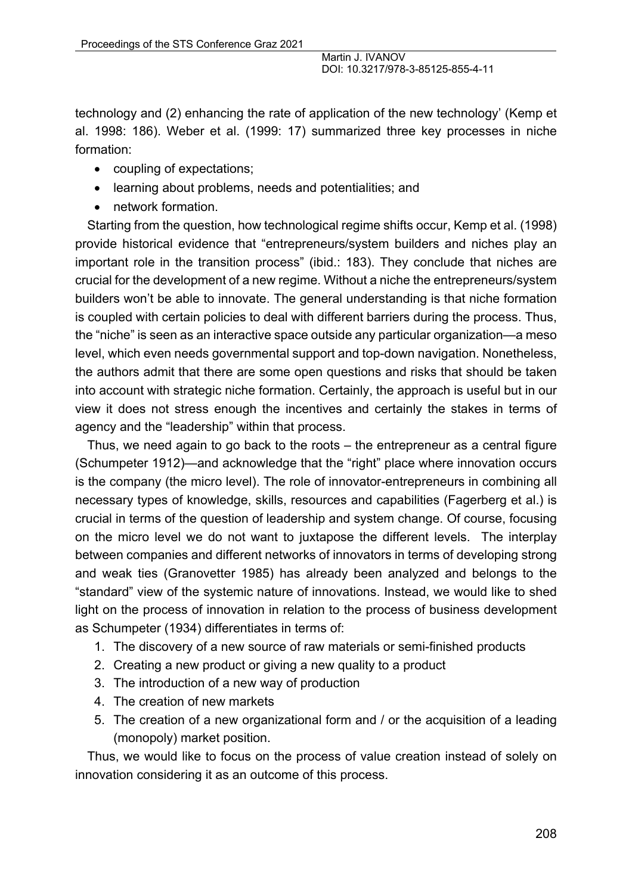technology and (2) enhancing the rate of application of the new technology' (Kemp et al. 1998: 186). Weber et al. (1999: 17) summarized three key processes in niche formation:

- coupling of expectations;
- learning about problems, needs and potentialities; and
- network formation.

Starting from the question, how technological regime shifts occur, Kemp et al. (1998) provide historical evidence that "entrepreneurs/system builders and niches play an important role in the transition process" (ibid.: 183). They conclude that niches are crucial for the development of a new regime. Without a niche the entrepreneurs/system builders won't be able to innovate. The general understanding is that niche formation is coupled with certain policies to deal with different barriers during the process. Thus, the "niche" is seen as an interactive space outside any particular organization—a meso level, which even needs governmental support and top-down navigation. Nonetheless, the authors admit that there are some open questions and risks that should be taken into account with strategic niche formation. Certainly, the approach is useful but in our view it does not stress enough the incentives and certainly the stakes in terms of agency and the "leadership" within that process.

Thus, we need again to go back to the roots – the entrepreneur as a central figure (Schumpeter 1912)—and acknowledge that the "right" place where innovation occurs is the company (the micro level). The role of innovator-entrepreneurs in combining all necessary types of knowledge, skills, resources and capabilities (Fagerberg et al.) is crucial in terms of the question of leadership and system change. Of course, focusing on the micro level we do not want to juxtapose the different levels. The interplay between companies and different networks of innovators in terms of developing strong and weak ties (Granovetter 1985) has already been analyzed and belongs to the "standard" view of the systemic nature of innovations. Instead, we would like to shed light on the process of innovation in relation to the process of business development as Schumpeter (1934) differentiates in terms of:

- 1. The discovery of a new source of raw materials or semi-finished products
- 2. Creating a new product or giving a new quality to a product
- 3. The introduction of a new way of production
- 4. The creation of new markets
- 5. The creation of a new organizational form and / or the acquisition of a leading (monopoly) market position.

Thus, we would like to focus on the process of value creation instead of solely on innovation considering it as an outcome of this process.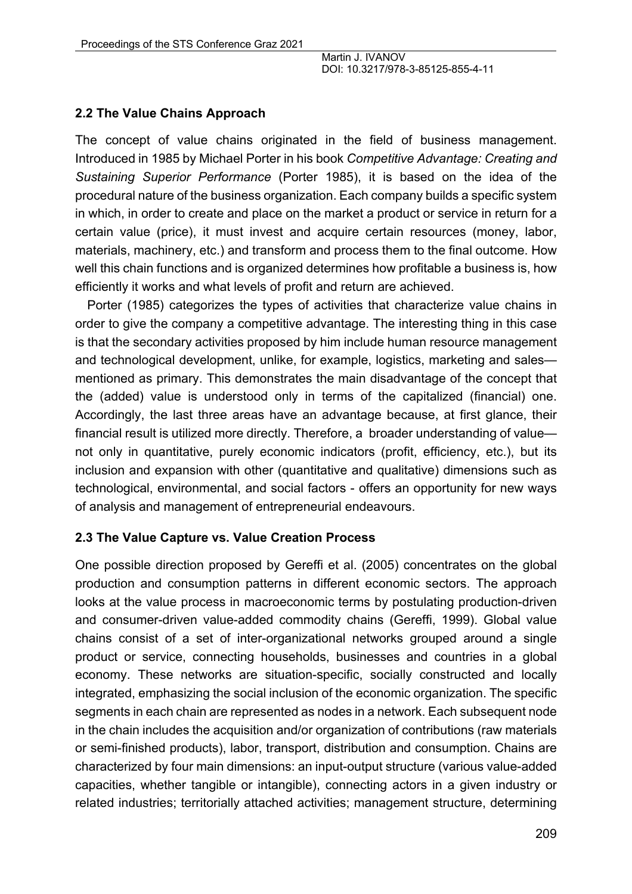### **2.2 The Value Chains Approach**

The concept of value chains originated in the field of business management. Introduced in 1985 by Michael Porter in his book *Competitive Advantage: Creating and Sustaining Superior Performance* (Porter 1985), it is based on the idea of the procedural nature of the business organization. Each company builds a specific system in which, in order to create and place on the market a product or service in return for a certain value (price), it must invest and acquire certain resources (money, labor, materials, machinery, etc.) and transform and process them to the final outcome. How well this chain functions and is organized determines how profitable a business is, how efficiently it works and what levels of profit and return are achieved.

Porter (1985) categorizes the types of activities that characterize value chains in order to give the company a competitive advantage. The interesting thing in this case is that the secondary activities proposed by him include human resource management and technological development, unlike, for example, logistics, marketing and sales mentioned as primary. This demonstrates the main disadvantage of the concept that the (added) value is understood only in terms of the capitalized (financial) one. Accordingly, the last three areas have an advantage because, at first glance, their financial result is utilized more directly. Therefore, a broader understanding of value not only in quantitative, purely economic indicators (profit, efficiency, etc.), but its inclusion and expansion with other (quantitative and qualitative) dimensions such as technological, environmental, and social factors - offers an opportunity for new ways of analysis and management of entrepreneurial endeavours.

#### **2.3 The Value Capture vs. Value Creation Process**

One possible direction proposed by Gereffi et al. (2005) concentrates on the global production and consumption patterns in different economic sectors. The approach looks at the value process in macroeconomic terms by postulating production-driven and consumer-driven value-added commodity chains (Gereffi, 1999). Global value chains consist of a set of inter-organizational networks grouped around a single product or service, connecting households, businesses and countries in a global economy. These networks are situation-specific, socially constructed and locally integrated, emphasizing the social inclusion of the economic organization. The specific segments in each chain are represented as nodes in a network. Each subsequent node in the chain includes the acquisition and/or organization of contributions (raw materials or semi-finished products), labor, transport, distribution and consumption. Chains are characterized by four main dimensions: an input-output structure (various value-added capacities, whether tangible or intangible), connecting actors in a given industry or related industries; territorially attached activities; management structure, determining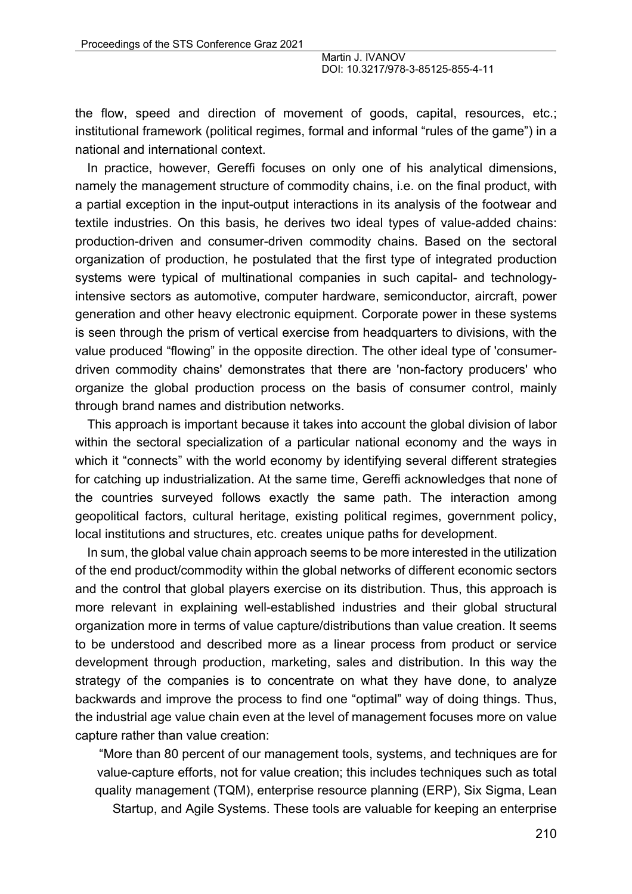the flow, speed and direction of movement of goods, capital, resources, etc.; institutional framework (political regimes, formal and informal "rules of the game") in a national and international context.

In practice, however, Gereffi focuses on only one of his analytical dimensions, namely the management structure of commodity chains, i.e. on the final product, with a partial exception in the input-output interactions in its analysis of the footwear and textile industries. On this basis, he derives two ideal types of value-added chains: production-driven and consumer-driven commodity chains. Based on the sectoral organization of production, he postulated that the first type of integrated production systems were typical of multinational companies in such capital- and technologyintensive sectors as automotive, computer hardware, semiconductor, aircraft, power generation and other heavy electronic equipment. Corporate power in these systems is seen through the prism of vertical exercise from headquarters to divisions, with the value produced "flowing" in the opposite direction. The other ideal type of 'consumerdriven commodity chains' demonstrates that there are 'non-factory producers' who organize the global production process on the basis of consumer control, mainly through brand names and distribution networks.

This approach is important because it takes into account the global division of labor within the sectoral specialization of a particular national economy and the ways in which it "connects" with the world economy by identifying several different strategies for catching up industrialization. At the same time, Gereffi acknowledges that none of the countries surveyed follows exactly the same path. The interaction among geopolitical factors, cultural heritage, existing political regimes, government policy, local institutions and structures, etc. creates unique paths for development.

In sum, the global value chain approach seems to be more interested in the utilization of the end product/commodity within the global networks of different economic sectors and the control that global players exercise on its distribution. Thus, this approach is more relevant in explaining well-established industries and their global structural organization more in terms of value capture/distributions than value creation. It seems to be understood and described more as a linear process from product or service development through production, marketing, sales and distribution. In this way the strategy of the companies is to concentrate on what they have done, to analyze backwards and improve the process to find one "optimal" way of doing things. Thus, the industrial age value chain even at the level of management focuses more on value capture rather than value creation:

"More than 80 percent of our management tools, systems, and techniques are for value-capture efforts, not for value creation; this includes techniques such as total quality management (TQM), enterprise resource planning (ERP), Six Sigma, Lean

Startup, and Agile Systems. These tools are valuable for keeping an enterprise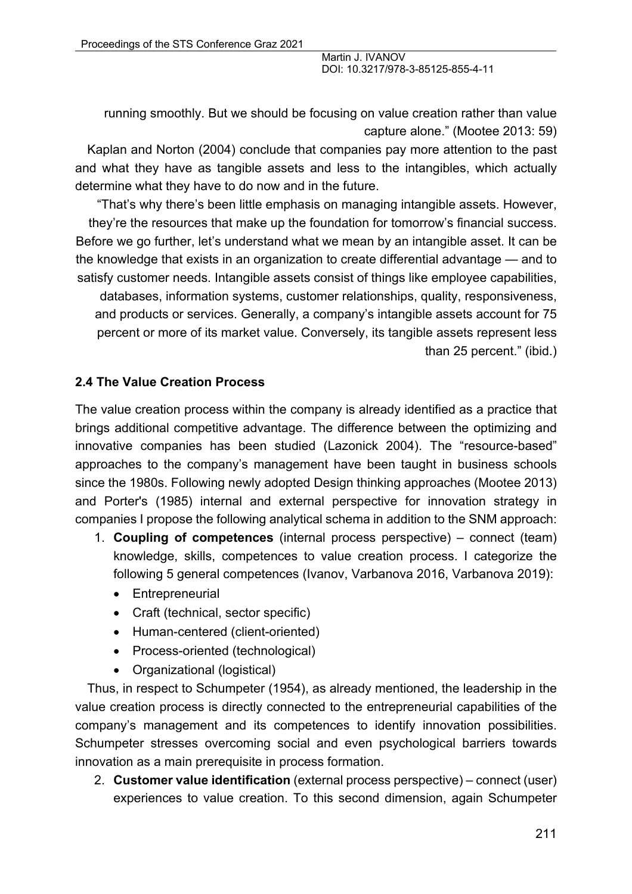running smoothly. But we should be focusing on value creation rather than value capture alone." (Mootee 2013: 59)

Kaplan and Norton (2004) conclude that companies pay more attention to the past and what they have as tangible assets and less to the intangibles, which actually determine what they have to do now and in the future.

"That's why there's been little emphasis on managing intangible assets. However, they're the resources that make up the foundation for tomorrow's financial success. Before we go further, let's understand what we mean by an intangible asset. It can be the knowledge that exists in an organization to create differential advantage — and to satisfy customer needs. Intangible assets consist of things like employee capabilities,

databases, information systems, customer relationships, quality, responsiveness, and products or services. Generally, a company's intangible assets account for 75 percent or more of its market value. Conversely, its tangible assets represent less than 25 percent." (ibid.)

#### **2.4 The Value Creation Process**

The value creation process within the company is already identified as a practice that brings additional competitive advantage. The difference between the optimizing and innovative companies has been studied (Lazonick 2004). The "resource-based" approaches to the company's management have been taught in business schools since the 1980s. Following newly adopted Design thinking approaches (Mootee 2013) and Porter's (1985) internal and external perspective for innovation strategy in companies I propose the following analytical schema in addition to the SNM approach:

- 1. **Coupling of competences** (internal process perspective) connect (team) knowledge, skills, competences to value creation process. I categorize the following 5 general competences (Ivanov, Varbanova 2016, Varbanova 2019):
	- Entrepreneurial
	- Craft (technical, sector specific)
	- Human-centered (client-oriented)
	- Process-oriented (technological)
	- Organizational (logistical)

Thus, in respect to Schumpeter (1954), as already mentioned, the leadership in the value creation process is directly connected to the entrepreneurial capabilities of the company's management and its competences to identify innovation possibilities. Schumpeter stresses overcoming social and even psychological barriers towards innovation as a main prerequisite in process formation.

2. **Customer value identification** (external process perspective) – connect (user) experiences to value creation. To this second dimension, again Schumpeter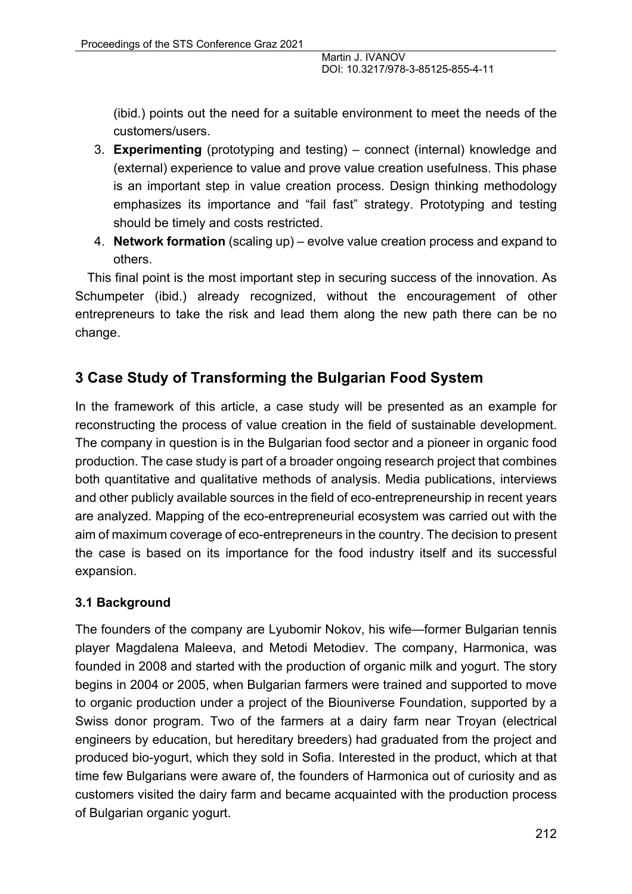(ibid.) points out the need for a suitable environment to meet the needs of the customers/users.

- 3. **Experimenting** (prototyping and testing) connect (internal) knowledge and (external) experience to value and prove value creation usefulness. This phase is an important step in value creation process. Design thinking methodology emphasizes its importance and "fail fast" strategy. Prototyping and testing should be timely and costs restricted.
- 4. **Network formation** (scaling up) evolve value creation process and expand to others.

This final point is the most important step in securing success of the innovation. As Schumpeter (ibid.) already recognized, without the encouragement of other entrepreneurs to take the risk and lead them along the new path there can be no change.

# **3 Case Study of Transforming the Bulgarian Food System**

In the framework of this article, a case study will be presented as an example for reconstructing the process of value creation in the field of sustainable development. The company in question is in the Bulgarian food sector and a pioneer in organic food production. The case study is part of a broader ongoing research project that combines both quantitative and qualitative methods of analysis. Media publications, interviews and other publicly available sources in the field of eco-entrepreneurship in recent years are analyzed. Mapping of the eco-entrepreneurial ecosystem was carried out with the aim of maximum coverage of eco-entrepreneurs in the country. The decision to present the case is based on its importance for the food industry itself and its successful expansion.

# **3.1 Background**

The founders of the company are Lyubomir Nokov, his wife—former Bulgarian tennis player Magdalena Maleeva, and Metodi Metodiev. The company, Harmonica, was founded in 2008 and started with the production of organic milk and yogurt. The story begins in 2004 or 2005, when Bulgarian farmers were trained and supported to move to organic production under a project of the Biouniverse Foundation, supported by a Swiss donor program. Two of the farmers at a dairy farm near Troyan (electrical engineers by education, but hereditary breeders) had graduated from the project and produced bio-yogurt, which they sold in Sofia. Interested in the product, which at that time few Bulgarians were aware of, the founders of Harmonica out of curiosity and as customers visited the dairy farm and became acquainted with the production process of Bulgarian organic yogurt.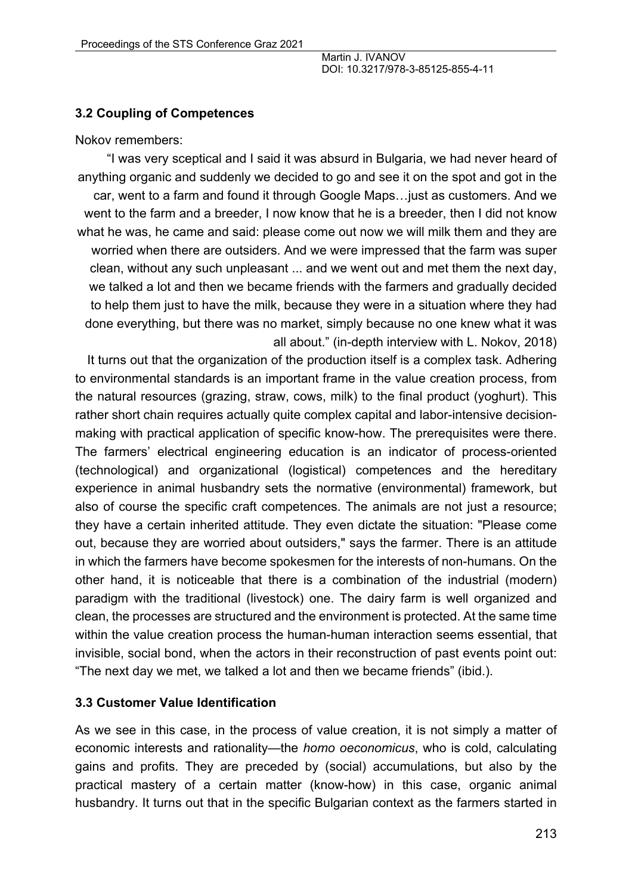#### **3.2 Coupling of Competences**

Nokov remembers:

"I was very sceptical and I said it was absurd in Bulgaria, we had never heard of anything organic and suddenly we decided to go and see it on the spot and got in the car, went to a farm and found it through Google Maps…just as customers. And we went to the farm and a breeder, I now know that he is a breeder, then I did not know what he was, he came and said: please come out now we will milk them and they are worried when there are outsiders. And we were impressed that the farm was super clean, without any such unpleasant ... and we went out and met them the next day, we talked a lot and then we became friends with the farmers and gradually decided to help them just to have the milk, because they were in a situation where they had done everything, but there was no market, simply because no one knew what it was all about." (in-depth interview with L. Nokov, 2018)

It turns out that the organization of the production itself is a complex task. Adhering to environmental standards is an important frame in the value creation process, from the natural resources (grazing, straw, cows, milk) to the final product (yoghurt). This rather short chain requires actually quite complex capital and labor-intensive decisionmaking with practical application of specific know-how. The prerequisites were there. The farmers' electrical engineering education is an indicator of process-oriented (technological) and organizational (logistical) competences and the hereditary experience in animal husbandry sets the normative (environmental) framework, but also of course the specific craft competences. The animals are not just a resource; they have a certain inherited attitude. They even dictate the situation: "Please come out, because they are worried about outsiders," says the farmer. There is an attitude in which the farmers have become spokesmen for the interests of non-humans. On the other hand, it is noticeable that there is a combination of the industrial (modern) paradigm with the traditional (livestock) one. The dairy farm is well organized and clean, the processes are structured and the environment is protected. At the same time within the value creation process the human-human interaction seems essential, that invisible, social bond, when the actors in their reconstruction of past events point out: "The next day we met, we talked a lot and then we became friends" (ibid.).

#### **3.3 Customer Value Identification**

As we see in this case, in the process of value creation, it is not simply a matter of economic interests and rationality—the *homo oeconomicus*, who is cold, calculating gains and profits. They are preceded by (social) accumulations, but also by the practical mastery of a certain matter (know-how) in this case, organic animal husbandry. It turns out that in the specific Bulgarian context as the farmers started in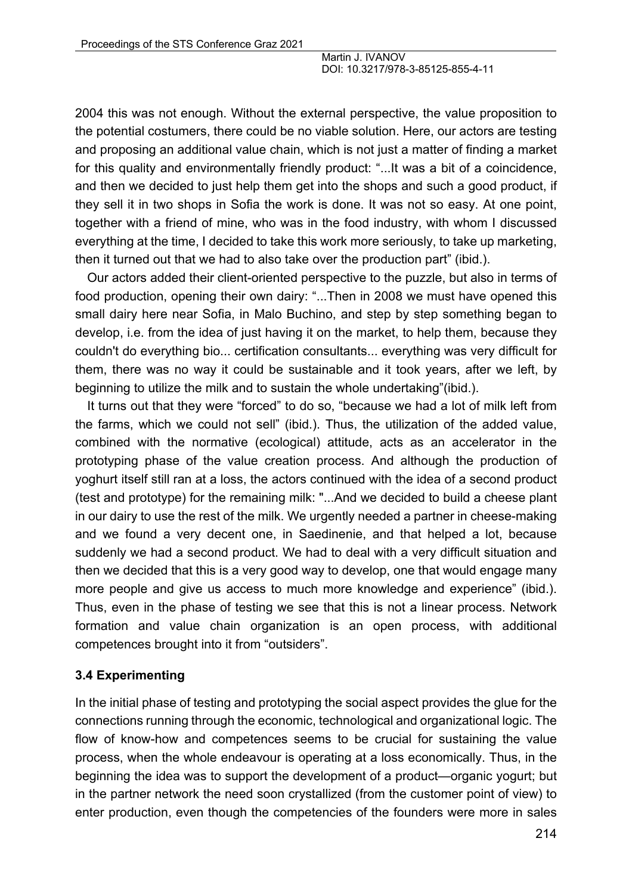2004 this was not enough. Without the external perspective, the value proposition to the potential costumers, there could be no viable solution. Here, our actors are testing and proposing an additional value chain, which is not just a matter of finding a market for this quality and environmentally friendly product: "...It was a bit of a coincidence, and then we decided to just help them get into the shops and such a good product, if they sell it in two shops in Sofia the work is done. It was not so easy. At one point, together with a friend of mine, who was in the food industry, with whom I discussed everything at the time, I decided to take this work more seriously, to take up marketing, then it turned out that we had to also take over the production part" (ibid.).

Our actors added their client-oriented perspective to the puzzle, but also in terms of food production, opening their own dairy: "...Then in 2008 we must have opened this small dairy here near Sofia, in Malo Buchino, and step by step something began to develop, i.e. from the idea of just having it on the market, to help them, because they couldn't do everything bio... certification consultants... everything was very difficult for them, there was no way it could be sustainable and it took years, after we left, by beginning to utilize the milk and to sustain the whole undertaking"(ibid.).

It turns out that they were "forced" to do so, "because we had a lot of milk left from the farms, which we could not sell" (ibid.). Thus, the utilization of the added value, combined with the normative (ecological) attitude, acts as an accelerator in the prototyping phase of the value creation process. And although the production of yoghurt itself still ran at a loss, the actors continued with the idea of a second product (test and prototype) for the remaining milk: "...And we decided to build a cheese plant in our dairy to use the rest of the milk. We urgently needed a partner in cheese-making and we found a very decent one, in Saedinenie, and that helped a lot, because suddenly we had a second product. We had to deal with a very difficult situation and then we decided that this is a very good way to develop, one that would engage many more people and give us access to much more knowledge and experience" (ibid.). Thus, even in the phase of testing we see that this is not a linear process. Network formation and value chain organization is an open process, with additional competences brought into it from "outsiders".

#### **3.4 Experimenting**

In the initial phase of testing and prototyping the social aspect provides the glue for the connections running through the economic, technological and organizational logic. The flow of know-how and competences seems to be crucial for sustaining the value process, when the whole endeavour is operating at a loss economically. Thus, in the beginning the idea was to support the development of a product—organic yogurt; but in the partner network the need soon crystallized (from the customer point of view) to enter production, even though the competencies of the founders were more in sales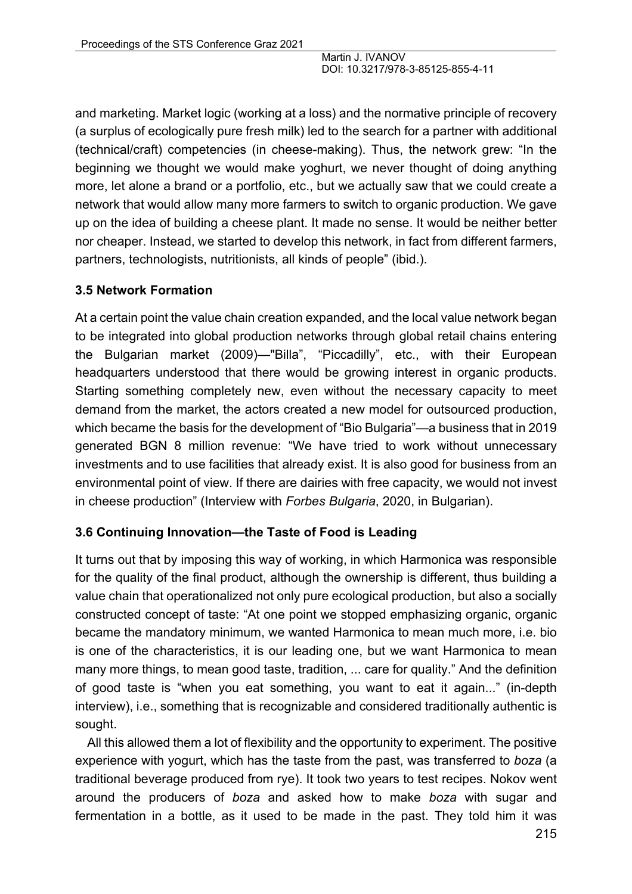and marketing. Market logic (working at a loss) and the normative principle of recovery (a surplus of ecologically pure fresh milk) led to the search for a partner with additional (technical/craft) competencies (in cheese-making). Thus, the network grew: "In the beginning we thought we would make yoghurt, we never thought of doing anything more, let alone a brand or a portfolio, etc., but we actually saw that we could create a network that would allow many more farmers to switch to organic production. We gave up on the idea of building a cheese plant. It made no sense. It would be neither better nor cheaper. Instead, we started to develop this network, in fact from different farmers, partners, technologists, nutritionists, all kinds of people" (ibid.).

## **3.5 Network Formation**

At a certain point the value chain creation expanded, and the local value network began to be integrated into global production networks through global retail chains entering the Bulgarian market (2009)—"Billa", "Piccadilly", etc., with their European headquarters understood that there would be growing interest in organic products. Starting something completely new, even without the necessary capacity to meet demand from the market, the actors created a new model for outsourced production, which became the basis for the development of "Bio Bulgaria"—a business that in 2019 generated BGN 8 million revenue: "We have tried to work without unnecessary investments and to use facilities that already exist. It is also good for business from an environmental point of view. If there are dairies with free capacity, we would not invest in cheese production" (Interview with *Forbes Bulgaria*, 2020, in Bulgarian).

## **3.6 Continuing Innovation—the Taste of Food is Leading**

It turns out that by imposing this way of working, in which Harmonica was responsible for the quality of the final product, although the ownership is different, thus building a value chain that operationalized not only pure ecological production, but also a socially constructed concept of taste: "At one point we stopped emphasizing organic, organic became the mandatory minimum, we wanted Harmonica to mean much more, i.e. bio is one of the characteristics, it is our leading one, but we want Harmonica to mean many more things, to mean good taste, tradition, ... care for quality." And the definition of good taste is "when you eat something, you want to eat it again..." (in-depth interview), i.e., something that is recognizable and considered traditionally authentic is sought.

All this allowed them a lot of flexibility and the opportunity to experiment. The positive experience with yogurt, which has the taste from the past, was transferred to *boza* (a traditional beverage produced from rye). It took two years to test recipes. Nokov went around the producers of *boza* and asked how to make *boza* with sugar and fermentation in a bottle, as it used to be made in the past. They told him it was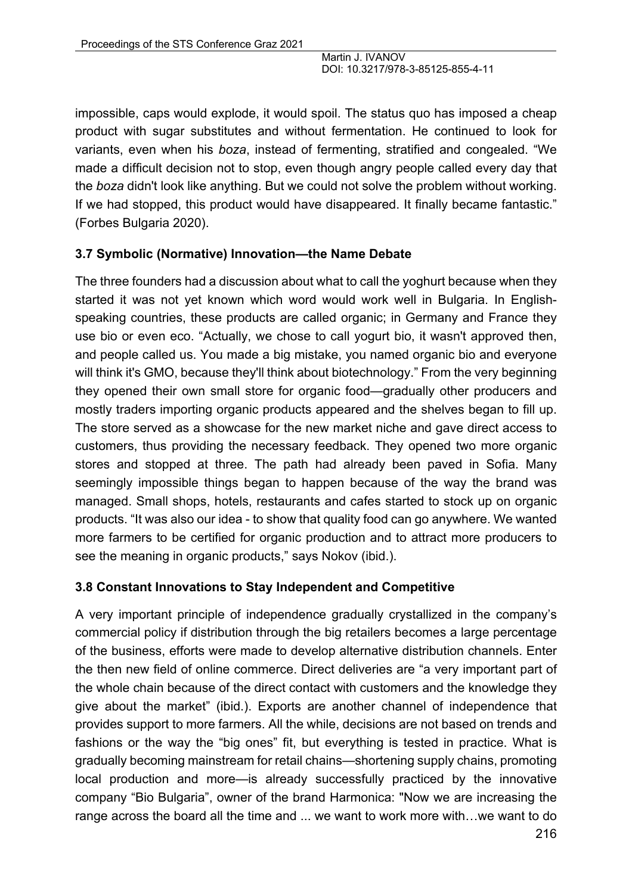impossible, caps would explode, it would spoil. The status quo has imposed a cheap product with sugar substitutes and without fermentation. He continued to look for variants, even when his *boza*, instead of fermenting, stratified and congealed. "We made a difficult decision not to stop, even though angry people called every day that the *boza* didn't look like anything. But we could not solve the problem without working. If we had stopped, this product would have disappeared. It finally became fantastic." (Forbes Bulgaria 2020).

#### **3.7 Symbolic (Normative) Innovation—the Name Debate**

The three founders had a discussion about what to call the yoghurt because when they started it was not yet known which word would work well in Bulgaria. In Englishspeaking countries, these products are called organic; in Germany and France they use bio or even eco. "Actually, we chose to call yogurt bio, it wasn't approved then, and people called us. You made a big mistake, you named organic bio and everyone will think it's GMO, because they'll think about biotechnology." From the very beginning they opened their own small store for organic food—gradually other producers and mostly traders importing organic products appeared and the shelves began to fill up. The store served as a showcase for the new market niche and gave direct access to customers, thus providing the necessary feedback. They opened two more organic stores and stopped at three. The path had already been paved in Sofia. Many seemingly impossible things began to happen because of the way the brand was managed. Small shops, hotels, restaurants and cafes started to stock up on organic products. "It was also our idea - to show that quality food can go anywhere. We wanted more farmers to be certified for organic production and to attract more producers to see the meaning in organic products," says Nokov (ibid.).

#### **3.8 Constant Innovations to Stay Independent and Competitive**

A very important principle of independence gradually crystallized in the company's commercial policy if distribution through the big retailers becomes a large percentage of the business, efforts were made to develop alternative distribution channels. Enter the then new field of online commerce. Direct deliveries are "a very important part of the whole chain because of the direct contact with customers and the knowledge they give about the market" (ibid.). Exports are another channel of independence that provides support to more farmers. All the while, decisions are not based on trends and fashions or the way the "big ones" fit, but everything is tested in practice. What is gradually becoming mainstream for retail chains—shortening supply chains, promoting local production and more—is already successfully practiced by the innovative company "Bio Bulgaria", owner of the brand Harmonica: "Now we are increasing the range across the board all the time and ... we want to work more with…we want to do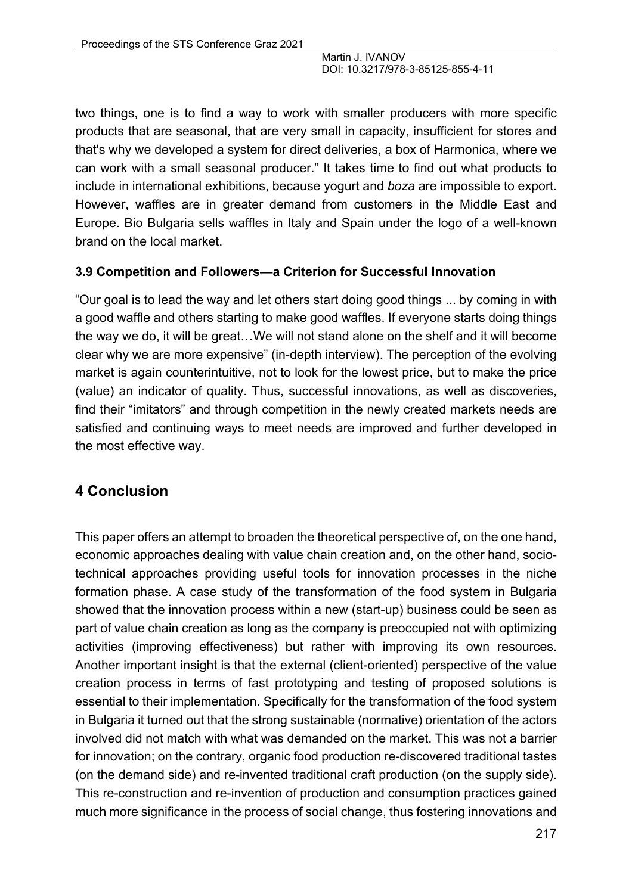two things, one is to find a way to work with smaller producers with more specific products that are seasonal, that are very small in capacity, insufficient for stores and that's why we developed a system for direct deliveries, a box of Harmonica, where we can work with a small seasonal producer." It takes time to find out what products to include in international exhibitions, because yogurt and *boza* are impossible to export. However, waffles are in greater demand from customers in the Middle East and Europe. Bio Bulgaria sells waffles in Italy and Spain under the logo of a well-known brand on the local market.

#### **3.9 Competition and Followers—a Criterion for Successful Innovation**

"Our goal is to lead the way and let others start doing good things ... by coming in with a good waffle and others starting to make good waffles. If everyone starts doing things the way we do, it will be great…We will not stand alone on the shelf and it will become clear why we are more expensive" (in-depth interview). The perception of the evolving market is again counterintuitive, not to look for the lowest price, but to make the price (value) an indicator of quality. Thus, successful innovations, as well as discoveries, find their "imitators" and through competition in the newly created markets needs are satisfied and continuing ways to meet needs are improved and further developed in the most effective way.

# **4 Conclusion**

This paper offers an attempt to broaden the theoretical perspective of, on the one hand, economic approaches dealing with value chain creation and, on the other hand, sociotechnical approaches providing useful tools for innovation processes in the niche formation phase. A case study of the transformation of the food system in Bulgaria showed that the innovation process within a new (start-up) business could be seen as part of value chain creation as long as the company is preoccupied not with optimizing activities (improving effectiveness) but rather with improving its own resources. Another important insight is that the external (client-oriented) perspective of the value creation process in terms of fast prototyping and testing of proposed solutions is essential to their implementation. Specifically for the transformation of the food system in Bulgaria it turned out that the strong sustainable (normative) orientation of the actors involved did not match with what was demanded on the market. This was not a barrier for innovation; on the contrary, organic food production re-discovered traditional tastes (on the demand side) and re-invented traditional craft production (on the supply side). This re-construction and re-invention of production and consumption practices gained much more significance in the process of social change, thus fostering innovations and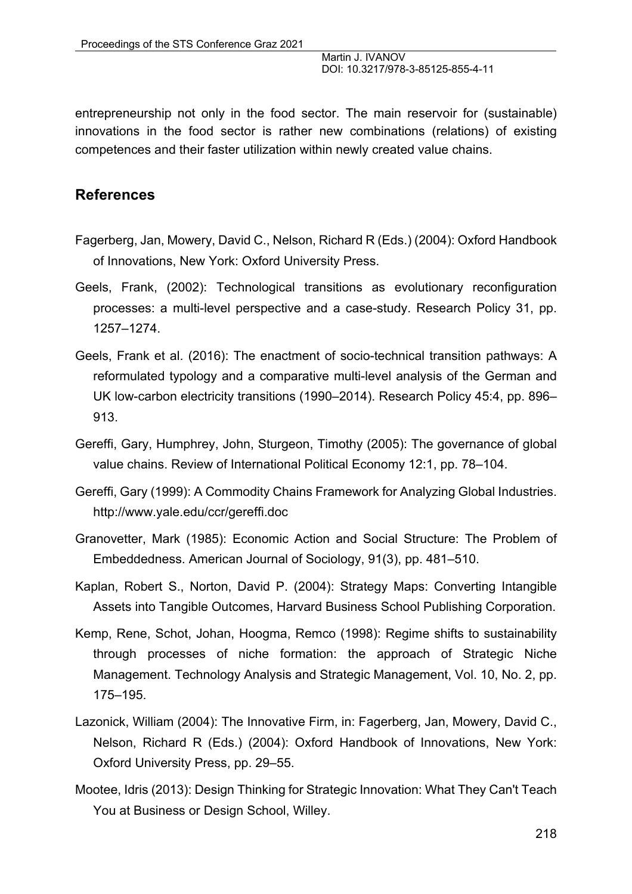entrepreneurship not only in the food sector. The main reservoir for (sustainable) innovations in the food sector is rather new combinations (relations) of existing competences and their faster utilization within newly created value chains.

## **References**

- Fagerberg, Jan, Mowery, David C., Nelson, Richard R (Eds.) (2004): Oxford Handbook of Innovations, New York: Oxford University Press.
- Geels, Frank, (2002): Technological transitions as evolutionary reconfiguration processes: a multi-level perspective and a case-study. Research Policy 31, pp. 1257–1274.
- Geels, Frank et al. (2016): The enactment of socio-technical transition pathways: A reformulated typology and a comparative multi-level analysis of the German and UK low-carbon electricity transitions (1990–2014). Research Policy 45:4, pp. 896– 913.
- Gereffi, Gary, Humphrey, John, Sturgeon, Timothy (2005): The governance of global value chains. Review of International Political Economy 12:1, pp. 78–104.
- Gereffi, Gary (1999): A Commodity Chains Framework for Analyzing Global Industries. http://www.yale.edu/ccr/gereffi.doc
- Granovetter, Mark (1985): Economic Action and Social Structure: The Problem of Embeddedness. American Journal of Sociology, 91(3), pp. 481–510.
- Kaplan, Robert S., Norton, David P. (2004): Strategy Maps: Converting Intangible Assets into Tangible Outcomes, Harvard Business School Publishing Corporation.
- Kemp, Rene, Schot, Johan, Hoogma, Remco (1998): Regime shifts to sustainability through processes of niche formation: the approach of Strategic Niche Management. Technology Analysis and Strategic Management, Vol. 10, No. 2, pp. 175–195.
- Lazonick, William (2004): The Innovative Firm, in: Fagerberg, Jan, Mowery, David C., Nelson, Richard R (Eds.) (2004): Oxford Handbook of Innovations, New York: Oxford University Press, pp. 29–55.
- Mootee, Idris (2013): Design Thinking for Strategic Innovation: What They Can't Teach You at Business or Design School, Willey.